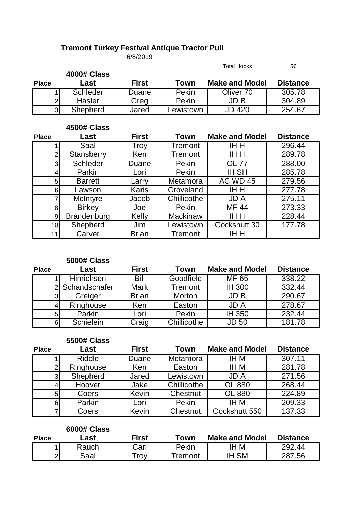#### **Tremont Turkey Festival Antique Tractor Pull**

6/8/2019

|              |                            |              |           | <b>Total Hooks</b>    | 56              |
|--------------|----------------------------|--------------|-----------|-----------------------|-----------------|
| <b>Place</b> | <b>4000# Class</b><br>Last | <b>First</b> | Town      | <b>Make and Model</b> | <b>Distance</b> |
|              | <b>Schleder</b>            | Duane        | Pekin     | Oliver 70             | 305.78          |
| 2            | Hasler                     | Greg         | Pekin     | JD B                  | 304.89          |
| $\vert$ 3    | Shepherd                   | Jared        | .ewistown | JD 420                | 254.67          |

#### **4500# Class Place Last First Town Make and Model Distance** 1 Saal Troy Tremont IHH 296.44 2 Stansberry | Ken | Tremont | IH H | 289.78 3 Schleder | Duane | Pekin | OL 77 | 288.00 4 Parkin | Lori | Pekin | IH SH | 285.78 5 Barrett | Larry | Metamora | AC WD 45 | 279.56<br>6 Lawson | Karis | Groveland | IH H | 277.78 6 Lawson Karis Groveland IHH 7 McIntyre Jacob Chillicothe JD A 275.11 8 Birkey | Joe | Pekin | MF-44 | 273.33 9 Brandenburg Kelly Mackinaw IH H 228.44<br>0 Shepherd Jim Lewistown Cockshutt 30 177.78 10 Shepherd Jim Lewistown Cockshutt 30 11 Carver | Brian | Tremont | IH H

#### **5000# Class**

| <b>Place</b> | Last              | <b>First</b> | Town        | <b>Make and Model</b> | <b>Distance</b> |
|--------------|-------------------|--------------|-------------|-----------------------|-----------------|
|              | <b>Hinrichsen</b> | Bill         | Goodfield   | MF 65                 | 338.22          |
| 21           | Schandschafer     | <b>Mark</b>  | Tremont     | <b>IH 300</b>         | 332.44          |
| 31           | Greiger           | <b>Brian</b> | Morton      | <b>JDB</b>            | 290.67          |
| 4            | Ringhouse         | Ken          | Easton      | <b>JDA</b>            | 278.67          |
| 5            | Parkin            | ∟ori         | Pekin       | IH 350                | 232.44          |
| 6            | <b>Schielein</b>  | Craig        | Chillicothe | JD 50                 | 181.78          |

|                | <b>5500# Class</b> |              |             |                       |                 |
|----------------|--------------------|--------------|-------------|-----------------------|-----------------|
| <b>Place</b>   | Last               | <b>First</b> | <b>Town</b> | <b>Make and Model</b> | <b>Distance</b> |
|                | Riddle             | Duane        | Metamora    | IH M                  | 307.11          |
|                | Ringhouse          | Ken          | Easton      | IH M                  | 281.78          |
| 31             | Shepherd           | Jared        | Lewistown   | <b>JDA</b>            | 271.56          |
|                | Hoover             | Jake         | Chillicothe | <b>OL 880</b>         | 268.44          |
| 5              | Coers              | Kevin        | Chestnut    | <b>OL 880</b>         | 224.89          |
| 6 <sub>l</sub> | Parkin             | Lori         | Pekin       | IH M                  | 209.33          |
| 7              | Coers              | Kevin        | Chestnut    | Cockshutt 550         | 137.33          |

|                | <b>6000# Class</b> |              |         |                       |                 |
|----------------|--------------------|--------------|---------|-----------------------|-----------------|
| <b>Place</b>   | .ast               | <b>First</b> | Town    | <b>Make and Model</b> | <b>Distance</b> |
|                | Rauch              | Carl         | Pekin   | ih M                  | 292.44          |
| 2 <sub>1</sub> | Saal               | rov          | ⊺remont | <b>SM</b>             | 287.56          |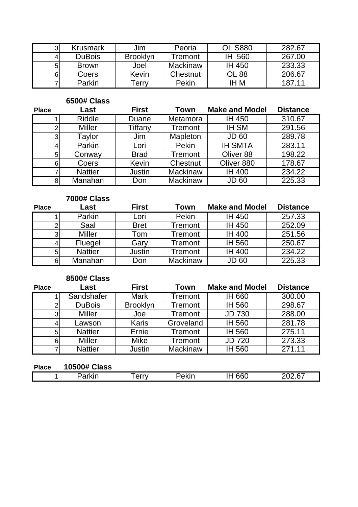| 3              | Krusmark      | Jim             | Peoria          | <b>OL S880</b> | 282.67 |
|----------------|---------------|-----------------|-----------------|----------------|--------|
| 4              | <b>DuBois</b> | <b>Brooklyn</b> | Tremont         | IH 560         | 267.00 |
| 5 <sub>l</sub> | <b>Brown</b>  | Joel            | <b>Mackinaw</b> | IH 450         | 233.33 |
| 6 <sub>l</sub> | Coers         | Kevin           | Chestnut        | OL 88          | 206.67 |
|                | Parkin        | erry            | Pekin           | ih M           | 187.11 |

## **6500# Class**

| <b>Place</b>   | Last           | <b>First</b>  | Town            | <b>Make and Model</b> | <b>Distance</b> |
|----------------|----------------|---------------|-----------------|-----------------------|-----------------|
|                | Riddle         | Duane         | Metamora        | IH 450                | 310.67          |
| $\overline{2}$ | <b>Miller</b>  | Tiffany       | Tremont         | <b>IH SM</b>          | 291.56          |
| 3 <sub>l</sub> | Taylor         | Jim           | Mapleton        | <b>JD 60</b>          | 289.78          |
| 4              | Parkin         | Lori          | Pekin           | <b>IH SMTA</b>        | 283.11          |
| 5 <sup>1</sup> | Conway         | <b>Brad</b>   | Tremont         | Oliver 88             | 198.22          |
| $6 \mid$       | Coers          | Kevin         | Chestnut        | Oliver 880            | 178.67          |
| 7              | <b>Nattier</b> | <b>Justin</b> | <b>Mackinaw</b> | <b>IH 400</b>         | 234.22          |
| 8 <sup>1</sup> | Manahan        | Don           | Mackinaw        | <b>JD 60</b>          | 225.33          |

## **7000# Class**

| <b>Place</b>   | Last           | <b>First</b> | Town     | <b>Make and Model</b> | <b>Distance</b> |
|----------------|----------------|--------------|----------|-----------------------|-----------------|
|                | Parkin         | Lori         | Pekin    | IH 450                | 257.33          |
| 2              | Saal           | <b>Bret</b>  | Tremont  | IH 450                | 252.09          |
| 3 <sup>1</sup> | <b>Miller</b>  | Tom          | Tremont  | <b>IH 400</b>         | 251.56          |
|                | Fluegel        | Garv         | Tremont  | IH 560                | 250.67          |
| 5 <sup>1</sup> | <b>Nattier</b> | Justin       | Tremont  | <b>IH 400</b>         | 234.22          |
| 6              | Manahan        | Don          | Mackinaw | JD 60                 | 225.33          |

## **8500# Class**

| <b>Place</b>   | Last           | <b>First</b>    | Town      | <b>Make and Model</b> | <b>Distance</b> |
|----------------|----------------|-----------------|-----------|-----------------------|-----------------|
|                | Sandshafer     | <b>Mark</b>     | Tremont   | IH 660                | 300.00          |
| 2 <sub>1</sub> | <b>DuBois</b>  | <b>Brooklyn</b> | Tremont   | IH 560                | 298.67          |
| $\overline{3}$ | <b>Miller</b>  | Joe             | Tremont   | <b>JD 730</b>         | 288.00          |
| 4              | Lawson         | <b>Karis</b>    | Groveland | IH 560                | 281.78          |
| 5              | <b>Nattier</b> | Ernie           | Tremont   | IH 560                | 275.11          |
| 6              | <b>Miller</b>  | <b>Mike</b>     | Tremont   | <b>JD 720</b>         | 273.33          |
|                | <b>Nattier</b> | Justin          | Mackinaw  | IH 560                | 271.11          |
|                |                |                 |           |                       |                 |

| <b>Place</b> | $10500H$ $C1$<br>$\sim$ $\sim$<br>ΝИ.<br>בושט<br>リリリ卅 |                                            |     |      |  |
|--------------|-------------------------------------------------------|--------------------------------------------|-----|------|--|
|              |                                                       | $. \nightharpoonup$ r $\cdot$<br><u>vu</u> | . . | hhi. |  |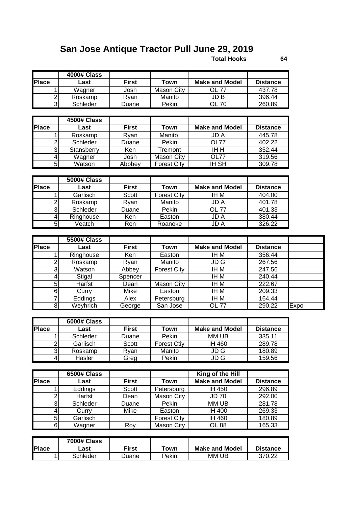# **San Jose Antique Tractor Pull June 29, 2019**

Г

#### **Total Hooks 64**

|                | <b>4000# Class</b> |              |                    |                       |                 |      |
|----------------|--------------------|--------------|--------------------|-----------------------|-----------------|------|
| <b>Place</b>   | Last               | <b>First</b> | <b>Town</b>        | <b>Make and Model</b> | <b>Distance</b> |      |
| 1              | Wagner             | Josh         | <b>Mason City</b>  | <b>OL 77</b>          | 437.78          |      |
| $\overline{2}$ | Roskamp            | Ryan         | Manito             | JDB                   | 396.44          |      |
| $\overline{3}$ | Schleder           | Duane        | Pekin              | <b>OL 70</b>          | 260.89          |      |
|                |                    |              |                    |                       |                 |      |
|                | <b>4500# Class</b> |              |                    |                       |                 |      |
| <b>Place</b>   | Last               | <b>First</b> | <b>Town</b>        | <b>Make and Model</b> | <b>Distance</b> |      |
| 1              | Roskamp            | Ryan         | Manito             | JD A                  | 445.78          |      |
| $\overline{2}$ | Schleder           | Duane        | Pekin              | OL77                  | 402.22          |      |
| $\overline{3}$ | Stansberry         | Ken          | Tremont            | IH H                  | 352.44          |      |
| 4              | Wagner             | Josh         | <b>Mason City</b>  | OL77                  | 319.56          |      |
| $\overline{5}$ | Watson             | Abbbey       | <b>Forest City</b> | $H$ SH                | 309.78          |      |
|                |                    |              |                    |                       |                 |      |
|                | <b>5000# Class</b> |              |                    |                       |                 |      |
| <b>Place</b>   | Last               | <b>First</b> | <b>Town</b>        | <b>Make and Model</b> | <b>Distance</b> |      |
| 1              | Garlisch           | <b>Scott</b> | <b>Forest City</b> | IH <sub>M</sub>       | 404.00          |      |
| $\overline{2}$ | Roskamp            | Ryan         | Manito             | JD A                  | 401.78          |      |
| 3              | Schleder           | Duane        | Pekin              | <b>OL 77</b>          | 401.33          |      |
| $\overline{4}$ | Ringhouse          | Ken          | Easton             | JD A                  | 380.44          |      |
| 5              | Veatch             | Ron          | Roanoke            | JDA                   | 326.22          |      |
|                |                    |              |                    |                       |                 |      |
|                | <b>5500# Class</b> |              |                    |                       |                 |      |
| <b>Place</b>   | Last               | <b>First</b> | <b>Town</b>        | <b>Make and Model</b> | <b>Distance</b> |      |
| 1              | Ringhouse          | Ken          | Easton             | IH M                  | 356.44          |      |
| $\overline{2}$ | Roskamp            | Ryan         | Manito             | JD G                  | 267.56          |      |
| $\overline{3}$ | Watson             | Abbey        | <b>Forest City</b> | IH <sub>M</sub>       | 247.56          |      |
| $\overline{4}$ | Stigal             | Spencer      |                    | IH <sub>M</sub>       | 240.44          |      |
| $\overline{5}$ | <b>Harfst</b>      | Dean         | <b>Mason City</b>  | IH <sub>M</sub>       | 222.67          |      |
| $\overline{6}$ | Curry              | Mike         | Easton             | IH M                  | 209.33          |      |
| 7              | Eddings            | <b>Alex</b>  | Petersburg         | IH M                  | 164.44          |      |
| $\overline{8}$ | Weyhrich           | George       | San Jose           | <b>OL 77</b>          | 290.22          | Expo |
|                |                    |              |                    |                       |                 |      |
|                | <b>6000# Class</b> |              |                    |                       |                 |      |
| <b>Place</b>   | Last               | <b>First</b> | <b>Town</b>        | <b>Make and Model</b> | <b>Distance</b> |      |
| 1              | Schleder           | Duane        | Pekin              | <b>MM UB</b>          | 335.11          |      |
| $\overline{2}$ | Garlisch           | Scott        | <b>Forest Ctiy</b> | IH 460                | 289.78          |      |
| $\overline{3}$ | Roskamp            | Ryan         | Manito             | JD <sub>G</sub>       | 180.89          |      |
| $\overline{4}$ | Hasler             | Greg         | Pekin              | JDG                   | 159.56          |      |

|              | <b>6500# Class</b> |              |                    | King of the Hill      |                 |
|--------------|--------------------|--------------|--------------------|-----------------------|-----------------|
| <b>Place</b> | Last               | <b>First</b> | Town               | <b>Make and Model</b> | <b>Distance</b> |
|              | Eddings            | Scott        | Petersburg         | IH 450                | 296.89          |
| っ            | Harfst             | Dean         | Mason City         | <b>JD 70</b>          | 292.00          |
| 3            | Schleder           | Duane        | Pekin              | MM UB                 | 281.78          |
| 4            | Curry              | Mike         | Easton             | IH 400                | 269.33          |
| 5            | Garlisch           |              | <b>Forest City</b> | IH 460                | 180.89          |
| 6            | Wagner             | Rov          | Mason City         | OL 88                 | 165.33          |

|              | 7000# Class |       |       |                       |                 |
|--------------|-------------|-------|-------|-----------------------|-----------------|
| <b>Place</b> | ∟ast        | First | ™own  | <b>Make and Model</b> | <b>Distance</b> |
|              | Schleder    | Duane | Pekin | MM UB                 | ימי ∩ד?<br>J.LL |